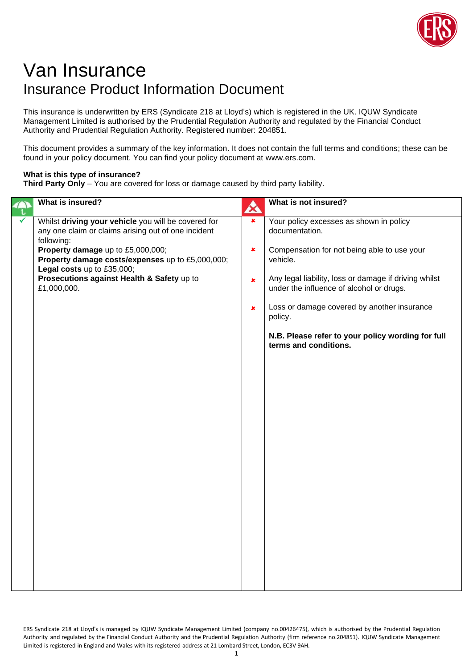

## Van Insurance Insurance Product Information Document

This insurance is underwritten by ERS (Syndicate 218 at Lloyd's) which is registered in the UK. IQUW Syndicate Management Limited is authorised by the Prudential Regulation Authority and regulated by the Financial Conduct Authority and Prudential Regulation Authority. Registered number: 204851.

This document provides a summary of the key information. It does not contain the full terms and conditions; these can be found in your policy document. You can find your policy document at www.ers.com.

## **What is this type of insurance?**

**Third Party Only** – You are covered for loss or damage caused by third party liability.

| What is insured?                                                                                                                                                                                                                                                                                             | $\boldsymbol{\alpha}$                                                         | What is not insured?                                                                                                                                                                                                                                                                                                                                              |
|--------------------------------------------------------------------------------------------------------------------------------------------------------------------------------------------------------------------------------------------------------------------------------------------------------------|-------------------------------------------------------------------------------|-------------------------------------------------------------------------------------------------------------------------------------------------------------------------------------------------------------------------------------------------------------------------------------------------------------------------------------------------------------------|
| Whilst driving your vehicle you will be covered for<br>any one claim or claims arising out of one incident<br>following:<br>Property damage up to £5,000,000;<br>Property damage costs/expenses up to £5,000,000;<br>Legal costs up to £35,000;<br>Prosecutions against Health & Safety up to<br>£1,000,000. | $\overline{\mathbf{x}}$<br>$\pmb{\times}$<br>$\pmb{\times}$<br>$\pmb{\times}$ | Your policy excesses as shown in policy<br>documentation.<br>Compensation for not being able to use your<br>vehicle.<br>Any legal liability, loss or damage if driving whilst<br>under the influence of alcohol or drugs.<br>Loss or damage covered by another insurance<br>policy.<br>N.B. Please refer to your policy wording for full<br>terms and conditions. |
|                                                                                                                                                                                                                                                                                                              |                                                                               |                                                                                                                                                                                                                                                                                                                                                                   |

ERS Syndicate 218 at Lloyd's is managed by IQUW Syndicate Management Limited (company no.00426475), which is authorised by the Prudential Regulation Authority and regulated by the Financial Conduct Authority and the Prudential Regulation Authority (firm reference no.204851). IQUW Syndicate Management Limited is registered in England and Wales with its registered address at 21 Lombard Street, London, EC3V 9AH.